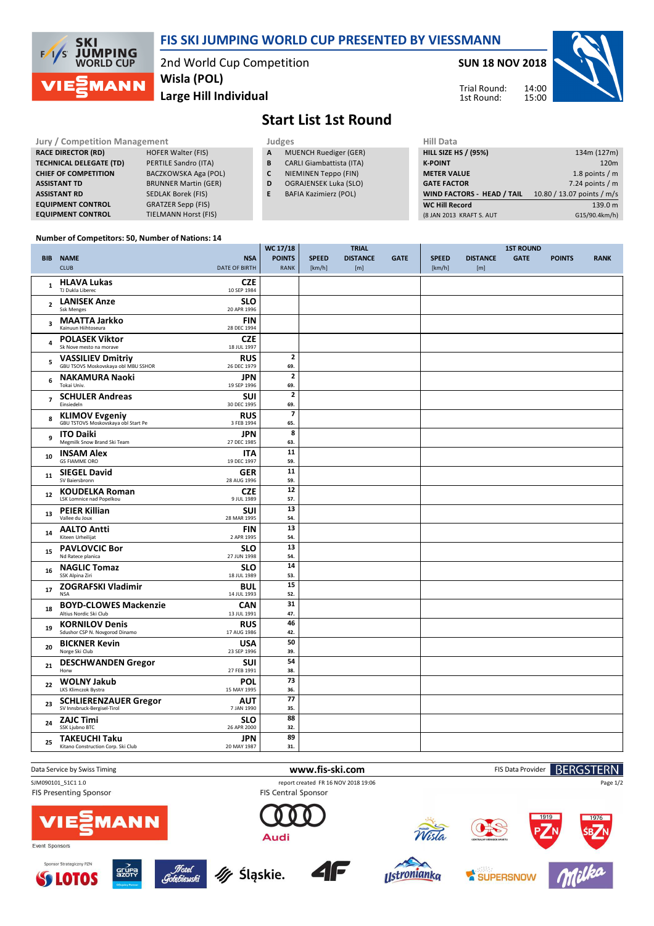

### **FIS SKI JUMPING WORLD CUP PRESENTED BY VIESSMANN**

2nd World Cup Competition **Large Hill Individual Wisla (POL)**

**SUN 18 NOV 2018**

Trial Round: 1st Round:



## **Start List 1st Round**

| Jury / Competition Management                           |   | Judges                          |                             | <b>Hill Data</b>                  |                            |  |  |
|---------------------------------------------------------|---|---------------------------------|-----------------------------|-----------------------------------|----------------------------|--|--|
| <b>RACE DIRECTOR (RD)</b><br><b>HOFER Walter (FIS)</b>  | A | <b>MUENCH Ruediger (GER)</b>    | <b>HILL SIZE HS / (95%)</b> |                                   | 134m (127m)                |  |  |
| <b>TECHNICAL DELEGATE (TD)</b><br>PERTILE Sandro (ITA)  | В | <b>CARLI Giambattista (ITA)</b> | <b>K-POINT</b>              |                                   | 120m                       |  |  |
| BACZKOWSKA Aga (POL)<br><b>CHIEF OF COMPETITION</b>     |   | NIEMINEN Teppo (FIN)            | <b>METER VALUE</b>          |                                   | 1.8 points $/m$            |  |  |
| <b>BRUNNER Martin (GER)</b><br><b>ASSISTANT TD</b>      | D | <b>OGRAJENSEK Luka (SLO)</b>    | <b>GATE FACTOR</b>          |                                   | 7.24 points $/m$           |  |  |
| SEDLAK Borek (FIS)<br><b>ASSISTANT RD</b>               | E | <b>BAFIA Kazimierz (POL)</b>    |                             | <b>WIND FACTORS - HEAD / TAIL</b> | 10.80 / 13.07 points / m/s |  |  |
| <b>GRATZER Sepp (FIS)</b><br><b>EQUIPMENT CONTROL</b>   |   |                                 | <b>WC Hill Record</b>       |                                   | 139.0 m                    |  |  |
| <b>TIELMANN Horst (FIS)</b><br><b>EQUIPMENT CONTROL</b> |   |                                 |                             | (8 JAN 2013 KRAFT S. AUT          | G15/90.4km/h)              |  |  |

#### **Number of Competitors: 50, Number of Nations: 14**

|                         |                                                                 |                           | WC 17/18                       |              | <b>TRIAL</b>    |             |              |                 | <b>1ST ROUND</b> |               |             |
|-------------------------|-----------------------------------------------------------------|---------------------------|--------------------------------|--------------|-----------------|-------------|--------------|-----------------|------------------|---------------|-------------|
|                         | <b>BIB NAME</b>                                                 | <b>NSA</b>                | <b>POINTS</b>                  | <b>SPEED</b> | <b>DISTANCE</b> | <b>GATE</b> | <b>SPEED</b> | <b>DISTANCE</b> | <b>GATE</b>      | <b>POINTS</b> | <b>RANK</b> |
|                         | <b>CLUB</b>                                                     | <b>DATE OF BIRTH</b>      | <b>RANK</b>                    | [km/h]       | [m]             |             | [km/h]       | [m]             |                  |               |             |
| $\mathbf{1}$            | <b>HLAVA Lukas</b><br>TJ Dukla Liberec                          | <b>CZE</b><br>10 SEP 1984 |                                |              |                 |             |              |                 |                  |               |             |
| $\overline{2}$          | <b>LANISEK Anze</b><br><b>Ssk Menges</b>                        | <b>SLO</b><br>20 APR 1996 |                                |              |                 |             |              |                 |                  |               |             |
| 3                       | <b>MAATTA Jarkko</b><br>Kainuun Hiihtoseura                     | <b>FIN</b><br>28 DEC 1994 |                                |              |                 |             |              |                 |                  |               |             |
| $\overline{\mathbf{4}}$ | <b>POLASEK Viktor</b><br>Sk Nove mesto na morave                | <b>CZE</b><br>18 JUL 1997 |                                |              |                 |             |              |                 |                  |               |             |
| 5                       | <b>VASSILIEV Dmitriy</b><br>GBU TSOVS Moskovskaya obl MBU SSHOR | <b>RUS</b><br>26 DEC 1979 | $\overline{\mathbf{c}}$<br>69. |              |                 |             |              |                 |                  |               |             |
| 6                       | <b>NAKAMURA Naoki</b><br>Tokai Univ.                            | <b>JPN</b><br>19 SEP 1996 | $\mathbf{z}$<br>69.            |              |                 |             |              |                 |                  |               |             |
| $\overline{7}$          | <b>SCHULER Andreas</b><br>Einsiedeln                            | <b>SUI</b><br>30 DEC 1995 | $\mathbf 2$<br>69.             |              |                 |             |              |                 |                  |               |             |
| 8                       | <b>KLIMOV Evgeniy</b><br>GBU TSTOVS Moskovskaya obl Start Pe    | <b>RUS</b><br>3 FEB 1994  | 65.                            |              |                 |             |              |                 |                  |               |             |
| 9                       | <b>ITO Daiki</b><br>Megmilk Snow Brand Ski Team                 | JPN<br>27 DEC 1985        | 8<br>63.                       |              |                 |             |              |                 |                  |               |             |
| 10                      | <b>INSAM Alex</b><br><b>GS FIAMME ORO</b>                       | <b>ITA</b><br>19 DEC 1997 | 11<br>59.                      |              |                 |             |              |                 |                  |               |             |
| 11                      | <b>SIEGEL David</b><br>SV Baiersbronn                           | <b>GER</b><br>28 AUG 1996 | 11<br>59.                      |              |                 |             |              |                 |                  |               |             |
| 12                      | <b>KOUDELKA Roman</b><br>LSK Lomnice nad Popelkou               | <b>CZE</b><br>9 JUL 1989  | 12<br>57.                      |              |                 |             |              |                 |                  |               |             |
| 13                      | <b>PEIER Killian</b><br>Vallee du Joux                          | <b>SUI</b><br>28 MAR 1995 | 13<br>54.                      |              |                 |             |              |                 |                  |               |             |
| 14                      | <b>AALTO Antti</b><br>Kiteen Urheilijat                         | <b>FIN</b><br>2 APR 1995  | 13<br>54.                      |              |                 |             |              |                 |                  |               |             |
| 15                      | <b>PAVLOVCIC Bor</b><br>Nd Ratece planica                       | <b>SLO</b><br>27 JUN 1998 | 13<br>54.                      |              |                 |             |              |                 |                  |               |             |
| 16                      | <b>NAGLIC Tomaz</b><br>SSK Alpina Ziri                          | <b>SLO</b><br>18 JUL 1989 | 14<br>53.                      |              |                 |             |              |                 |                  |               |             |
| 17                      | <b>ZOGRAFSKI Vladimir</b><br><b>NSA</b>                         | <b>BUL</b><br>14 JUL 1993 | 15<br>52.                      |              |                 |             |              |                 |                  |               |             |
| 18                      | <b>BOYD-CLOWES Mackenzie</b><br>Altius Nordic Ski Club          | <b>CAN</b><br>13 JUL 1991 | 31<br>47.                      |              |                 |             |              |                 |                  |               |             |
| 19                      | <b>KORNILOV Denis</b><br>Sdushor CSP N. Novgorod Dinamo         | <b>RUS</b><br>17 AUG 1986 | 46<br>42.                      |              |                 |             |              |                 |                  |               |             |
| 20                      | <b>BICKNER Kevin</b><br>Norge Ski Club                          | <b>USA</b><br>23 SEP 1996 | 50<br>39.                      |              |                 |             |              |                 |                  |               |             |
| 21                      | <b>DESCHWANDEN Gregor</b><br>Horw                               | <b>SUI</b><br>27 FEB 1991 | 54<br>38.                      |              |                 |             |              |                 |                  |               |             |
| 22                      | <b>WOLNY Jakub</b><br>LKS Klimczok Bystra                       | <b>POL</b><br>15 MAY 1995 | 73<br>36.                      |              |                 |             |              |                 |                  |               |             |
| 23                      | <b>SCHLIERENZAUER Gregor</b><br>SV Innsbruck-Bergisel-Tirol     | <b>AUT</b><br>7 JAN 1990  | 77<br>35.                      |              |                 |             |              |                 |                  |               |             |
| 24                      | <b>ZAJC Timi</b><br>SSK Ljubno BTC                              | <b>SLO</b><br>26 APR 2000 | 88<br>32.                      |              |                 |             |              |                 |                  |               |             |
| 25                      | <b>TAKEUCHI Taku</b><br>Kitano Construction Corp. Ski Club      | <b>JPN</b><br>20 MAY 1987 | 89<br>31.                      |              |                 |             |              |                 |                  |               |             |
|                         |                                                                 |                           |                                |              |                 |             |              |                 |                  |               |             |

Data Service by Swiss Timing **WWW.fis-Ski.com www.fis-ski.com** FIS Data Provider **BERGSTERN** 

SJM090101\_51C1 1.0 report created FR 16 NOV 2018 19:06

FIS Presenting Sponsor



Event Sponsors







FIS Central Sponsor

**4F** 

Audi







Page 1/2